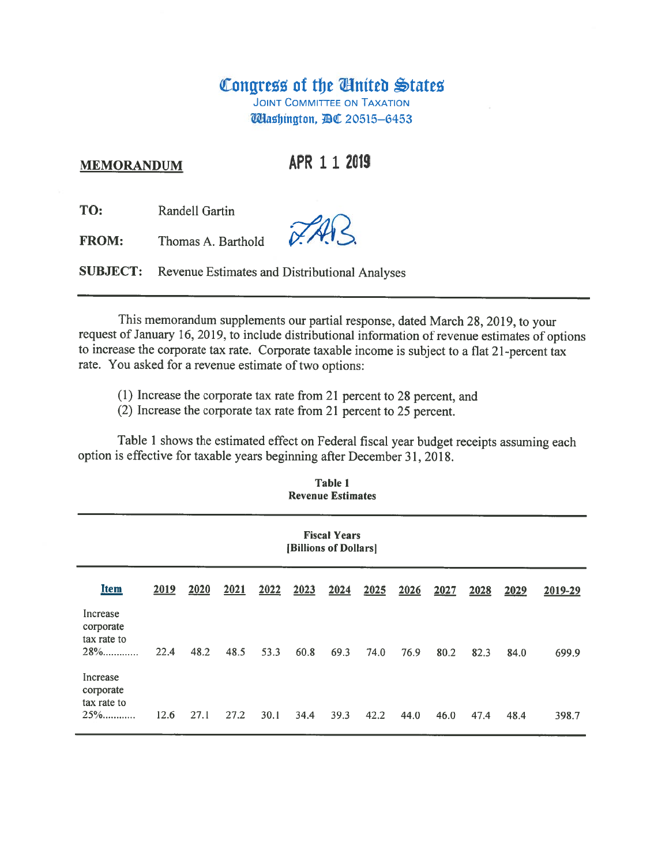# Congress of the United States

**JOINT COMMITTEE ON TAXATION Washington, 週**C 20515-6453

#### **MEMORANDUM**

APR 1 1 2019

TO: Randell Gartin

FROM: Thomas A. Barthold

**SUBJECT:** Revenue Estimates and Distributional Analyses

This memorandum supplements our partial response, dated March 28, 2019, to your request of January 16, 2019, to include distributional information of revenue estimates of options to increase the corporate tax rate. Corporate taxable income is subject to a flat 21-percent tax rate. You asked for a revenue estimate of two options:

(1) Increase the corporate tax rate from 21 percent to 28 percent, and

(2) Increase the corporate tax rate from 21 percent to 25 percent.

Table 1 shows the estimated effect on Federal fiscal year budget receipts assuming each option is effective for taxable years beginning after December 31, 2018.

**Table 1** 

| <b>Revenue Estimates</b>                       |      |      |      |      |      |      |      |      |      |      |      |         |
|------------------------------------------------|------|------|------|------|------|------|------|------|------|------|------|---------|
| <b>Fiscal Years</b><br>[Billions of Dollars]   |      |      |      |      |      |      |      |      |      |      |      |         |
| <b>Item</b>                                    | 2019 | 2020 | 2021 | 2022 | 2023 | 2024 | 2025 | 2026 | 2027 | 2028 | 2029 | 2019-29 |
| Increase<br>corporate<br>tax rate to<br>$28\%$ | 22.4 | 48.2 | 48.5 | 53.3 | 60.8 | 69.3 | 74.0 | 76.9 | 80.2 | 82.3 | 84.0 | 699.9   |
| Increase<br>corporate<br>tax rate to<br>$25\%$ | 12.6 | 27.1 | 27.2 | 30.1 | 34.4 | 39.3 | 42.2 | 44.0 | 46.0 | 47.4 | 48.4 | 398.7   |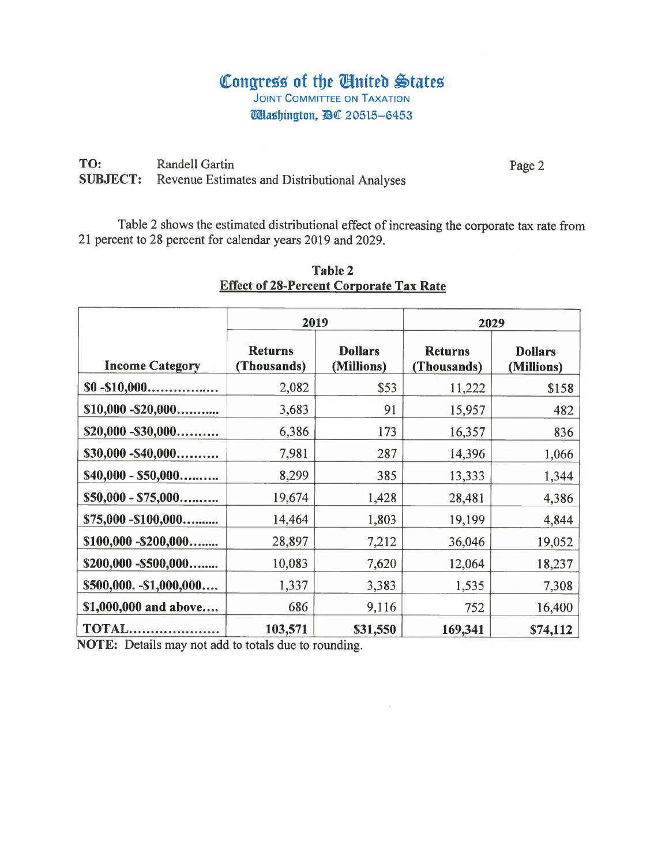## Congress of the Anited States **JOINT COMMITTEE ON TAXATION Washington, AC 20515-6453**

TO: Randell Gartin **SUBJECT:** Revenue Estimates and Distributional Analyses

Page 2

Table 2 shows the estimated distributional effect of increasing the corporate tax rate from 21 percent to 28 percent for calendar years 2019 and 2029.

|                        | 2019                          |                              | 2029                          |                              |  |  |
|------------------------|-------------------------------|------------------------------|-------------------------------|------------------------------|--|--|
| <b>Income Category</b> | <b>Returns</b><br>(Thousands) | <b>Dollars</b><br>(Millions) | <b>Returns</b><br>(Thousands) | <b>Dollars</b><br>(Millions) |  |  |
| $$0 - $10,000$         | 2,082                         | \$53                         | 11,222                        | \$158                        |  |  |
| $$10,000 - $20,000$    | 3,683                         | 91                           | 15,957                        | 482                          |  |  |
| $$20,000 - $30,000$    | 6,386                         | 173                          | 16,357                        | 836                          |  |  |
| $$30,000 - $40,000$    | 7,981                         | 287                          | 14,396                        | 1,066                        |  |  |
| $$40,000 - $50,000$    | 8,299                         | 385                          | 13,333                        | 1,344                        |  |  |
| $$50,000 - $75,000$    | 19,674                        | 1,428                        | 28,481                        | 4,386                        |  |  |
| \$75,000 - \$100,000   | 14,464                        | 1,803                        | 19,199                        | 4,844                        |  |  |
| $$100,000 - $200,000$  | 28,897                        | 7,212                        | 36,046                        | 19,052                       |  |  |
| \$200,000 - \$500,000  | 10,083                        | 7,620                        | 12,064                        | 18,237                       |  |  |
| $$500,000.-$1,000,000$ | 1,337                         | 3,383                        | 1,535                         | 7,308                        |  |  |
| \$1,000,000 and above  | 686                           | 9,116                        | 752                           | 16,400                       |  |  |
| <b>TOTAL</b>           | 103,571                       | \$31,550                     | 169,341                       | \$74,112                     |  |  |

 $\overline{\phantom{a}}$ 

### Table 2 **Effect of 28-Percent Corporate Tax Rate**

NOTE: Details may not add to totals due to rounding.